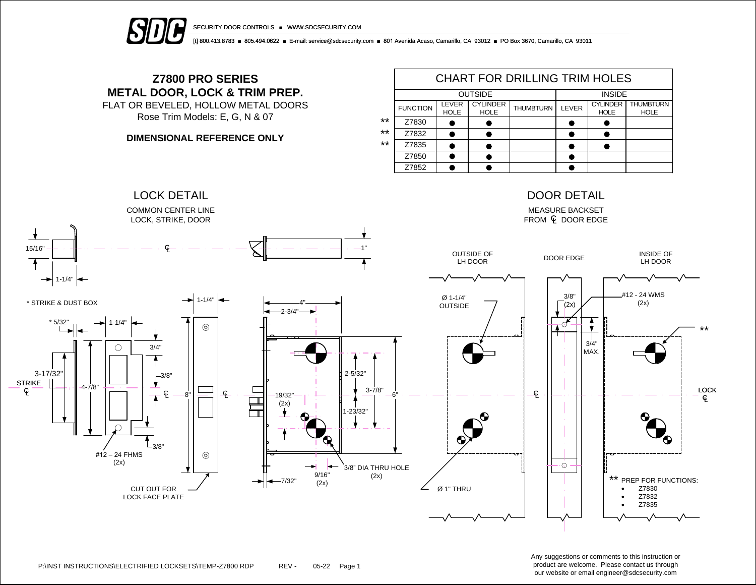

[t] 800.413.8783 ■ 805.494.0622 ■ E-mail: service@sdcsecurity.com ■ 801 Avenida Acaso, Camarillo, CA 93012 ■ PO Box 3670, Camarillo, CA 93011

## **Z7800 PRO SERIES METAL DOOR, LOCK & TRIM PREP.**

FLAT OR BEVELED, HOLLOW METAL DOORS Rose Trim Models: E, G, N & 07

## **DIMENSIONAL REFERENCE ONLY**

|       | CHART FOR DRILLING TRIM HOLES |                      |                                |                  |       |                                |                                 |  |  |  |
|-------|-------------------------------|----------------------|--------------------------------|------------------|-------|--------------------------------|---------------------------------|--|--|--|
|       |                               | <b>OUTSIDE</b>       | <b>INSIDE</b>                  |                  |       |                                |                                 |  |  |  |
|       | <b>FUNCTION</b>               | LEVER<br><b>HOLE</b> | <b>CYLINDER</b><br><b>HOLE</b> | <b>THUMBTURN</b> | LEVER | <b>CYLINDER</b><br><b>HOLE</b> | <b>THUMBTURN</b><br><b>HOLE</b> |  |  |  |
| $***$ | Z7830                         |                      |                                |                  |       |                                |                                 |  |  |  |
| $***$ | Z7832                         |                      |                                |                  |       |                                |                                 |  |  |  |
| $***$ | Z7835                         |                      |                                |                  |       |                                |                                 |  |  |  |
|       | Z7850                         |                      |                                |                  |       |                                |                                 |  |  |  |
|       | Z7852                         |                      |                                |                  |       |                                |                                 |  |  |  |